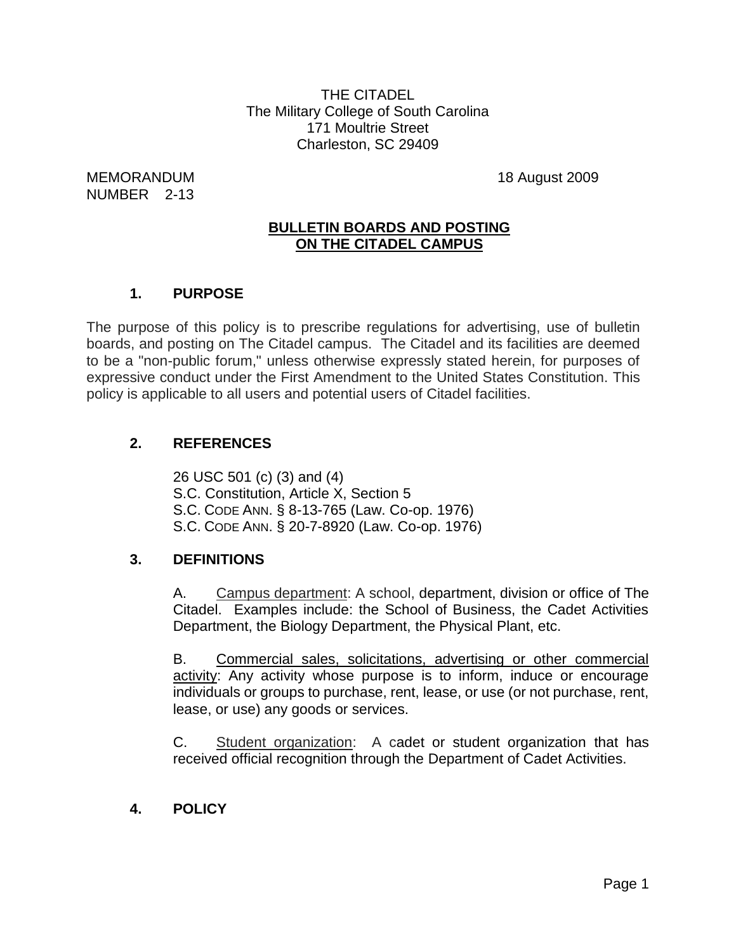THE CITADEL The Military College of South Carolina 171 Moultrie Street Charleston, SC 29409

MEMORANDUM 18 August 2009 NUMBER 2-13

## **BULLETIN BOARDS AND POSTING ON THE CITADEL CAMPUS**

## **1. PURPOSE**

The purpose of this policy is to prescribe regulations for advertising, use of bulletin boards, and posting on The Citadel campus. The Citadel and its facilities are deemed to be a "non-public forum," unless otherwise expressly stated herein, for purposes of expressive conduct under the First Amendment to the United States Constitution. This policy is applicable to all users and potential users of Citadel facilities.

#### **2. REFERENCES**

26 USC 501 (c) (3) and (4) S.C. Constitution, Article X, Section 5 S.C. CODE ANN. § 8-13-765 (Law. Co-op. 1976) S.C. CODE ANN. § 20-7-8920 (Law. Co-op. 1976)

#### **3. DEFINITIONS**

A. Campus department: A school, department, division or office of The Citadel. Examples include: the School of Business, the Cadet Activities Department, the Biology Department, the Physical Plant, etc.

B. Commercial sales, solicitations, advertising or other commercial activity: Any activity whose purpose is to inform, induce or encourage individuals or groups to purchase, rent, lease, or use (or not purchase, rent, lease, or use) any goods or services.

C. Student organization: A cadet or student organization that has received official recognition through the Department of Cadet Activities.

**4. POLICY**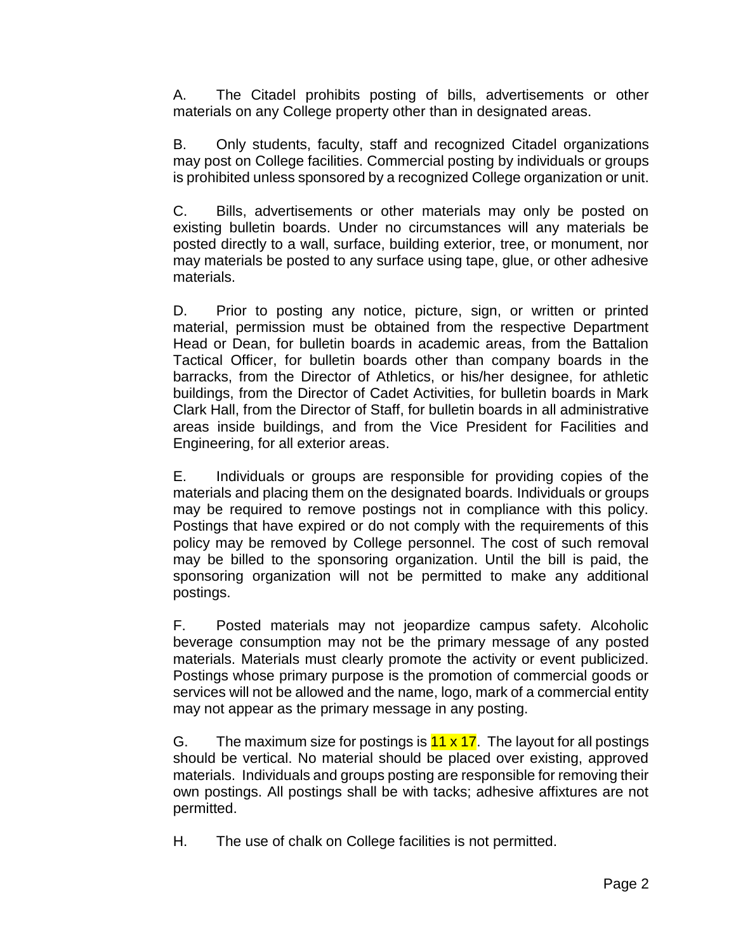A. The Citadel prohibits posting of bills, advertisements or other materials on any College property other than in designated areas.

B. Only students, faculty, staff and recognized Citadel organizations may post on College facilities. Commercial posting by individuals or groups is prohibited unless sponsored by a recognized College organization or unit.

C. Bills, advertisements or other materials may only be posted on existing bulletin boards. Under no circumstances will any materials be posted directly to a wall, surface, building exterior, tree, or monument, nor may materials be posted to any surface using tape, glue, or other adhesive materials.

D. Prior to posting any notice, picture, sign, or written or printed material, permission must be obtained from the respective Department Head or Dean, for bulletin boards in academic areas, from the Battalion Tactical Officer, for bulletin boards other than company boards in the barracks, from the Director of Athletics, or his/her designee, for athletic buildings, from the Director of Cadet Activities, for bulletin boards in Mark Clark Hall, from the Director of Staff, for bulletin boards in all administrative areas inside buildings, and from the Vice President for Facilities and Engineering, for all exterior areas.

E. Individuals or groups are responsible for providing copies of the materials and placing them on the designated boards. Individuals or groups may be required to remove postings not in compliance with this policy. Postings that have expired or do not comply with the requirements of this policy may be removed by College personnel. The cost of such removal may be billed to the sponsoring organization. Until the bill is paid, the sponsoring organization will not be permitted to make any additional postings.

F. Posted materials may not jeopardize campus safety. Alcoholic beverage consumption may not be the primary message of any posted materials. Materials must clearly promote the activity or event publicized. Postings whose primary purpose is the promotion of commercial goods or services will not be allowed and the name, logo, mark of a commercial entity may not appear as the primary message in any posting.

G. The maximum size for postings is  $11 \times 17$ . The layout for all postings should be vertical. No material should be placed over existing, approved materials. Individuals and groups posting are responsible for removing their own postings. All postings shall be with tacks; adhesive affixtures are not permitted.

H. The use of chalk on College facilities is not permitted.